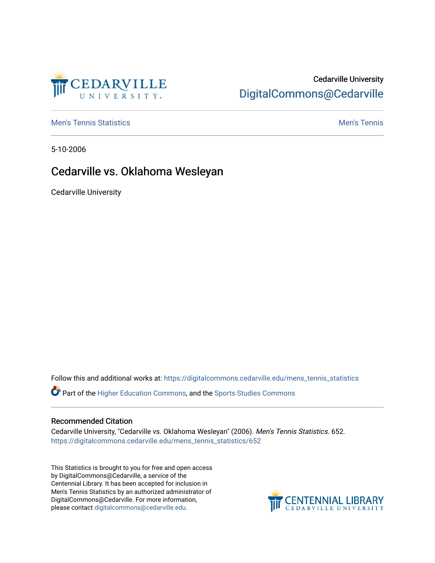

# Cedarville University [DigitalCommons@Cedarville](https://digitalcommons.cedarville.edu/)

**[Men's Tennis Statistics](https://digitalcommons.cedarville.edu/mens_tennis_statistics) Men's Tennis** Men's Tennis

5-10-2006

# Cedarville vs. Oklahoma Wesleyan

Cedarville University

Follow this and additional works at: [https://digitalcommons.cedarville.edu/mens\\_tennis\\_statistics](https://digitalcommons.cedarville.edu/mens_tennis_statistics?utm_source=digitalcommons.cedarville.edu%2Fmens_tennis_statistics%2F652&utm_medium=PDF&utm_campaign=PDFCoverPages)

Part of the [Higher Education Commons,](http://network.bepress.com/hgg/discipline/1245?utm_source=digitalcommons.cedarville.edu%2Fmens_tennis_statistics%2F652&utm_medium=PDF&utm_campaign=PDFCoverPages) and the [Sports Studies Commons](http://network.bepress.com/hgg/discipline/1198?utm_source=digitalcommons.cedarville.edu%2Fmens_tennis_statistics%2F652&utm_medium=PDF&utm_campaign=PDFCoverPages) 

#### Recommended Citation

Cedarville University, "Cedarville vs. Oklahoma Wesleyan" (2006). Men's Tennis Statistics. 652. [https://digitalcommons.cedarville.edu/mens\\_tennis\\_statistics/652](https://digitalcommons.cedarville.edu/mens_tennis_statistics/652?utm_source=digitalcommons.cedarville.edu%2Fmens_tennis_statistics%2F652&utm_medium=PDF&utm_campaign=PDFCoverPages) 

This Statistics is brought to you for free and open access by DigitalCommons@Cedarville, a service of the Centennial Library. It has been accepted for inclusion in Men's Tennis Statistics by an authorized administrator of DigitalCommons@Cedarville. For more information, please contact [digitalcommons@cedarville.edu](mailto:digitalcommons@cedarville.edu).